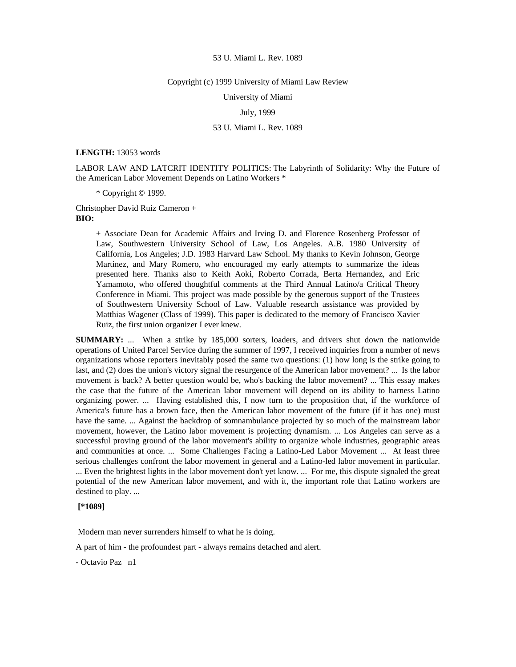#### Copyright (c) 1999 University of Miami Law Review

University of Miami

# July, 1999

# 53 U. Miami L. Rev. 1089

# **LENGTH:** 13053 words

LABOR LAW AND LATCRIT IDENTITY POLITICS: The Labyrinth of Solidarity: Why the Future of the American Labor Movement Depends on Latino Workers \*

\* Copyright © 1999.

Christopher David Ruiz Cameron + **BIO:** 

> + Associate Dean for Academic Affairs and Irving D. and Florence Rosenberg Professor of Law, Southwestern University School of Law, Los Angeles. A.B. 1980 University of California, Los Angeles; J.D. 1983 Harvard Law School. My thanks to Kevin Johnson, George Martinez, and Mary Romero, who encouraged my early attempts to summarize the ideas presented here. Thanks also to Keith Aoki, Roberto Corrada, Berta Hernandez, and Eric Yamamoto, who offered thoughtful comments at the Third Annual Latino/a Critical Theory Conference in Miami. This project was made possible by the generous support of the Trustees of Southwestern University School of Law. Valuable research assistance was provided by Matthias Wagener (Class of 1999). This paper is dedicated to the memory of Francisco Xavier Ruiz, the first union organizer I ever knew.

**SUMMARY:** ... When a strike by 185,000 sorters, loaders, and drivers shut down the nationwide operations of United Parcel Service during the summer of 1997, I received inquiries from a number of news organizations whose reporters inevitably posed the same two questions: (1) how long is the strike going to last, and (2) does the union's victory signal the resurgence of the American labor movement? ... Is the labor movement is back? A better question would be, who's backing the labor movement? ... This essay makes the case that the future of the American labor movement will depend on its ability to harness Latino organizing power. ... Having established this, I now turn to the proposition that, if the workforce of America's future has a brown face, then the American labor movement of the future (if it has one) must have the same. ... Against the backdrop of somnambulance projected by so much of the mainstream labor movement, however, the Latino labor movement is projecting dynamism. ... Los Angeles can serve as a successful proving ground of the labor movement's ability to organize whole industries, geographic areas and communities at once. ... Some Challenges Facing a Latino-Led Labor Movement ... At least three serious challenges confront the labor movement in general and a Latino-led labor movement in particular. ... Even the brightest lights in the labor movement don't yet know. ... For me, this dispute signaled the great potential of the new American labor movement, and with it, the important role that Latino workers are destined to play. ...

# **[\*1089]**

Modern man never surrenders himself to what he is doing.

A part of him - the profoundest part - always remains detached and alert.

- Octavio Paz n1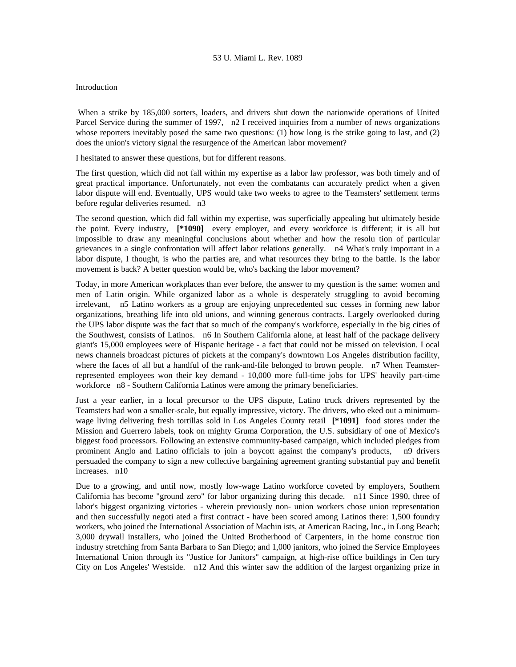## Introduction

 When a strike by 185,000 sorters, loaders, and drivers shut down the nationwide operations of United Parcel Service during the summer of 1997, n2 I received inquiries from a number of news organizations whose reporters inevitably posed the same two questions: (1) how long is the strike going to last, and (2) does the union's victory signal the resurgence of the American labor movement?

I hesitated to answer these questions, but for different reasons.

The first question, which did not fall within my expertise as a labor law professor, was both timely and of great practical importance. Unfortunately, not even the combatants can accurately predict when a given labor dispute will end. Eventually, UPS would take two weeks to agree to the Teamsters' settlement terms before regular deliveries resumed. n3

The second question, which did fall within my expertise, was superficially appealing but ultimately beside the point. Every industry, **[\*1090]** every employer, and every workforce is different; it is all but impossible to draw any meaningful conclusions about whether and how the resolu tion of particular grievances in a single confrontation will affect labor relations generally. n4 What's truly important in a labor dispute, I thought, is who the parties are, and what resources they bring to the battle. Is the labor movement is back? A better question would be, who's backing the labor movement?

Today, in more American workplaces than ever before, the answer to my question is the same: women and men of Latin origin. While organized labor as a whole is desperately struggling to avoid becoming irrelevant, n5 Latino workers as a group are enjoying unprecedented suc cesses in forming new labor organizations, breathing life into old unions, and winning generous contracts. Largely overlooked during the UPS labor dispute was the fact that so much of the company's workforce, especially in the big cities of the Southwest, consists of Latinos. n6 In Southern California alone, at least half of the package delivery giant's 15,000 employees were of Hispanic heritage - a fact that could not be missed on television. Local news channels broadcast pictures of pickets at the company's downtown Los Angeles distribution facility, where the faces of all but a handful of the rank-and-file belonged to brown people. n7 When Teamsterrepresented employees won their key demand - 10,000 more full-time jobs for UPS' heavily part-time workforce n8 - Southern California Latinos were among the primary beneficiaries.

Just a year earlier, in a local precursor to the UPS dispute, Latino truck drivers represented by the Teamsters had won a smaller-scale, but equally impressive, victory. The drivers, who eked out a minimumwage living delivering fresh tortillas sold in Los Angeles County retail **[\*1091]** food stores under the Mission and Guerrero labels, took on mighty Gruma Corporation, the U.S. subsidiary of one of Mexico's biggest food processors. Following an extensive community-based campaign, which included pledges from prominent Anglo and Latino officials to join a boycott against the company's products, n9 drivers persuaded the company to sign a new collective bargaining agreement granting substantial pay and benefit increases. n10

Due to a growing, and until now, mostly low-wage Latino workforce coveted by employers, Southern California has become "ground zero" for labor organizing during this decade. n11 Since 1990, three of labor's biggest organizing victories - wherein previously non- union workers chose union representation and then successfully negoti ated a first contract - have been scored among Latinos there: 1,500 foundry workers, who joined the International Association of Machin ists, at American Racing, Inc., in Long Beach; 3,000 drywall installers, who joined the United Brotherhood of Carpenters, in the home construc tion industry stretching from Santa Barbara to San Diego; and 1,000 janitors, who joined the Service Employees International Union through its "Justice for Janitors" campaign, at high-rise office buildings in Cen tury City on Los Angeles' Westside. n12 And this winter saw the addition of the largest organizing prize in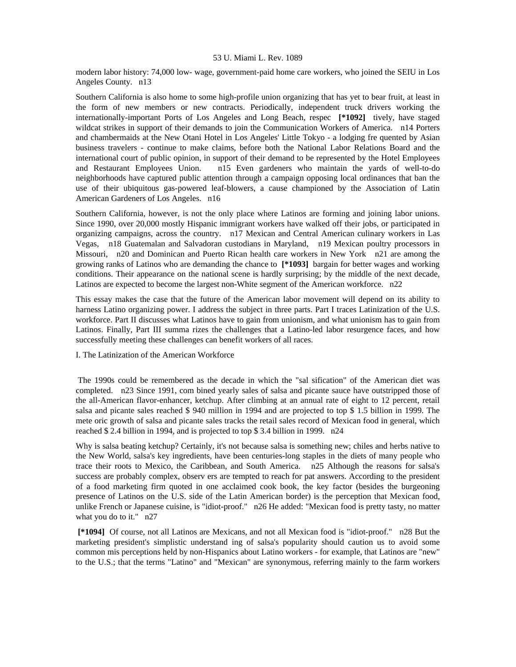modern labor history: 74,000 low- wage, government-paid home care workers, who joined the SEIU in Los Angeles County. n13

Southern California is also home to some high-profile union organizing that has yet to bear fruit, at least in the form of new members or new contracts. Periodically, independent truck drivers working the internationally-important Ports of Los Angeles and Long Beach, respec **[\*1092]** tively, have staged wildcat strikes in support of their demands to join the Communication Workers of America. n14 Porters and chambermaids at the New Otani Hotel in Los Angeles' Little Tokyo - a lodging fre quented by Asian business travelers - continue to make claims, before both the National Labor Relations Board and the international court of public opinion, in support of their demand to be represented by the Hotel Employees and Restaurant Employees Union. n15 Even gardeners who maintain the yards of well-to-do neighborhoods have captured public attention through a campaign opposing local ordinances that ban the use of their ubiquitous gas-powered leaf-blowers, a cause championed by the Association of Latin American Gardeners of Los Angeles. n16

Southern California, however, is not the only place where Latinos are forming and joining labor unions. Since 1990, over 20,000 mostly Hispanic immigrant workers have walked off their jobs, or participated in organizing campaigns, across the country. n17 Mexican and Central American culinary workers in Las Vegas, n18 Guatemalan and Salvadoran custodians in Maryland, n19 Mexican poultry processors in Missouri, n20 and Dominican and Puerto Rican health care workers in New York n21 are among the growing ranks of Latinos who are demanding the chance to **[\*1093]** bargain for better wages and working conditions. Their appearance on the national scene is hardly surprising; by the middle of the next decade, Latinos are expected to become the largest non-White segment of the American workforce. n22

This essay makes the case that the future of the American labor movement will depend on its ability to harness Latino organizing power. I address the subject in three parts. Part I traces Latinization of the U.S. workforce. Part II discusses what Latinos have to gain from unionism, and what unionism has to gain from Latinos. Finally, Part III summa rizes the challenges that a Latino-led labor resurgence faces, and how successfully meeting these challenges can benefit workers of all races.

I. The Latinization of the American Workforce

 The 1990s could be remembered as the decade in which the "sal sification" of the American diet was completed. n23 Since 1991, com bined yearly sales of salsa and picante sauce have outstripped those of the all-American flavor-enhancer, ketchup. After climbing at an annual rate of eight to 12 percent, retail salsa and picante sales reached \$ 940 million in 1994 and are projected to top \$ 1.5 billion in 1999. The mete oric growth of salsa and picante sales tracks the retail sales record of Mexican food in general, which reached \$ 2.4 billion in 1994, and is projected to top \$ 3.4 billion in 1999. n24

Why is salsa beating ketchup? Certainly, it's not because salsa is something new; chiles and herbs native to the New World, salsa's key ingredients, have been centuries-long staples in the diets of many people who trace their roots to Mexico, the Caribbean, and South America. n25 Although the reasons for salsa's success are probably complex, observ ers are tempted to reach for pat answers. According to the president of a food marketing firm quoted in one acclaimed cook book, the key factor (besides the burgeoning presence of Latinos on the U.S. side of the Latin American border) is the perception that Mexican food, unlike French or Japanese cuisine, is "idiot-proof." n26 He added: "Mexican food is pretty tasty, no matter what you do to it." n27

 **[\*1094]** Of course, not all Latinos are Mexicans, and not all Mexican food is "idiot-proof." n28 But the marketing president's simplistic understand ing of salsa's popularity should caution us to avoid some common mis perceptions held by non-Hispanics about Latino workers - for example, that Latinos are "new" to the U.S.; that the terms "Latino" and "Mexican" are synonymous, referring mainly to the farm workers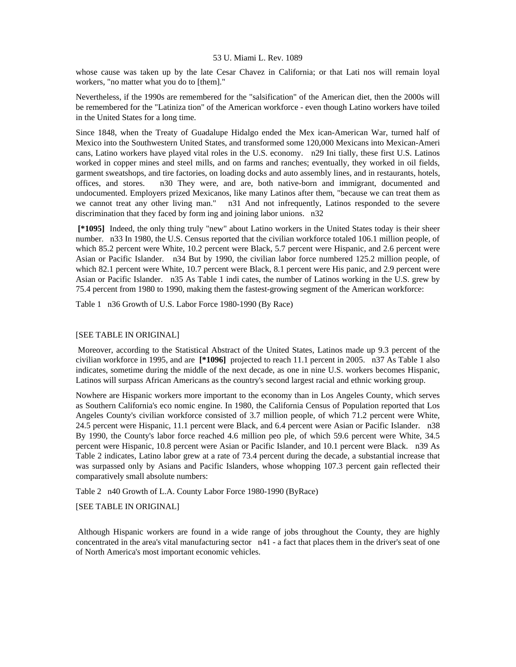whose cause was taken up by the late Cesar Chavez in California; or that Lati nos will remain loyal workers, "no matter what you do to [them]."

Nevertheless, if the 1990s are remembered for the "salsification" of the American diet, then the 2000s will be remembered for the "Latiniza tion" of the American workforce - even though Latino workers have toiled in the United States for a long time.

Since 1848, when the Treaty of Guadalupe Hidalgo ended the Mex ican-American War, turned half of Mexico into the Southwestern United States, and transformed some 120,000 Mexicans into Mexican-Ameri cans, Latino workers have played vital roles in the U.S. economy. n29 Ini tially, these first U.S. Latinos worked in copper mines and steel mills, and on farms and ranches; eventually, they worked in oil fields, garment sweatshops, and tire factories, on loading docks and auto assembly lines, and in restaurants, hotels, offices, and stores. n30 They were, and are, both native-born and immigrant, documented and undocumented. Employers prized Mexicanos, like many Latinos after them, "because we can treat them as we cannot treat any other living man." n31 And not infrequently, Latinos responded to the severe discrimination that they faced by form ing and joining labor unions. n32

 **[\*1095]** Indeed, the only thing truly "new" about Latino workers in the United States today is their sheer number. n33 In 1980, the U.S. Census reported that the civilian workforce totaled 106.1 million people, of which 85.2 percent were White, 10.2 percent were Black, 5.7 percent were Hispanic, and 2.6 percent were Asian or Pacific Islander. n34 But by 1990, the civilian labor force numbered 125.2 million people, of which 82.1 percent were White, 10.7 percent were Black, 8.1 percent were His panic, and 2.9 percent were Asian or Pacific Islander. n35 As Table 1 indi cates, the number of Latinos working in the U.S. grew by 75.4 percent from 1980 to 1990, making them the fastest-growing segment of the American workforce:

Table 1 n36 Growth of U.S. Labor Force 1980-1990 (By Race)

# [SEE TABLE IN ORIGINAL]

 Moreover, according to the Statistical Abstract of the United States, Latinos made up 9.3 percent of the civilian workforce in 1995, and are **[\*1096]** projected to reach 11.1 percent in 2005. n37 As Table 1 also indicates, sometime during the middle of the next decade, as one in nine U.S. workers becomes Hispanic, Latinos will surpass African Americans as the country's second largest racial and ethnic working group.

Nowhere are Hispanic workers more important to the economy than in Los Angeles County, which serves as Southern California's eco nomic engine. In 1980, the California Census of Population reported that Los Angeles County's civilian workforce consisted of 3.7 million people, of which 71.2 percent were White, 24.5 percent were Hispanic, 11.1 percent were Black, and 6.4 percent were Asian or Pacific Islander. n38 By 1990, the County's labor force reached 4.6 million peo ple, of which 59.6 percent were White, 34.5 percent were Hispanic, 10.8 percent were Asian or Pacific Islander, and 10.1 percent were Black. n39 As Table 2 indicates, Latino labor grew at a rate of 73.4 percent during the decade, a substantial increase that was surpassed only by Asians and Pacific Islanders, whose whopping 107.3 percent gain reflected their comparatively small absolute numbers:

Table 2 n40 Growth of L.A. County Labor Force 1980-1990 (ByRace)

[SEE TABLE IN ORIGINAL]

 Although Hispanic workers are found in a wide range of jobs throughout the County, they are highly concentrated in the area's vital manufacturing sector n41 - a fact that places them in the driver's seat of one of North America's most important economic vehicles.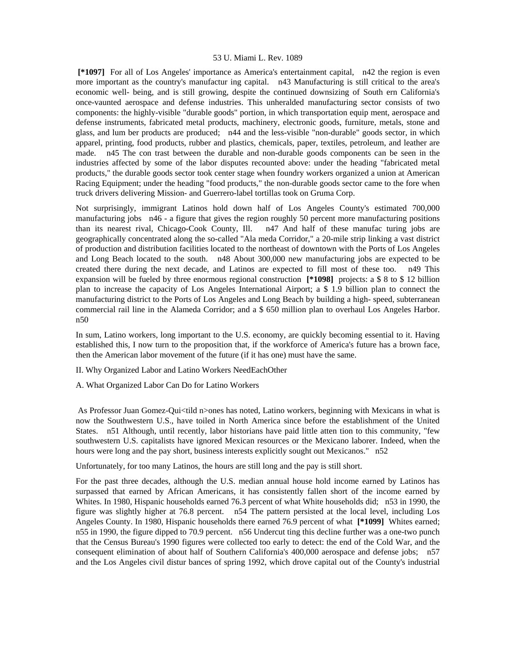**[\*1097]** For all of Los Angeles' importance as America's entertainment capital, n42 the region is even more important as the country's manufactur ing capital. n43 Manufacturing is still critical to the area's economic well- being, and is still growing, despite the continued downsizing of South ern California's once-vaunted aerospace and defense industries. This unheralded manufacturing sector consists of two components: the highly-visible "durable goods" portion, in which transportation equip ment, aerospace and defense instruments, fabricated metal products, machinery, electronic goods, furniture, metals, stone and glass, and lum ber products are produced; n44 and the less-visible "non-durable" goods sector, in which apparel, printing, food products, rubber and plastics, chemicals, paper, textiles, petroleum, and leather are made. n45 The con trast between the durable and non-durable goods components can be seen in the industries affected by some of the labor disputes recounted above: under the heading "fabricated metal products," the durable goods sector took center stage when foundry workers organized a union at American Racing Equipment; under the heading "food products," the non-durable goods sector came to the fore when truck drivers delivering Mission- and Guerrero-label tortillas took on Gruma Corp.

Not surprisingly, immigrant Latinos hold down half of Los Angeles County's estimated 700,000 manufacturing jobs n46 - a figure that gives the region roughly 50 percent more manufacturing positions than its nearest rival, Chicago-Cook County, Ill. n47 And half of these manufac turing jobs are geographically concentrated along the so-called "Ala meda Corridor," a 20-mile strip linking a vast district of production and distribution facilities located to the northeast of downtown with the Ports of Los Angeles and Long Beach located to the south. n48 About 300,000 new manufacturing jobs are expected to be created there during the next decade, and Latinos are expected to fill most of these too. n49 This expansion will be fueled by three enormous regional construction **[\*1098]** projects: a \$ 8 to \$ 12 billion plan to increase the capacity of Los Angeles International Airport; a \$ 1.9 billion plan to connect the manufacturing district to the Ports of Los Angeles and Long Beach by building a high- speed, subterranean commercial rail line in the Alameda Corridor; and a \$ 650 million plan to overhaul Los Angeles Harbor. n50

In sum, Latino workers, long important to the U.S. economy, are quickly becoming essential to it. Having established this, I now turn to the proposition that, if the workforce of America's future has a brown face, then the American labor movement of the future (if it has one) must have the same.

II. Why Organized Labor and Latino Workers NeedEachOther

A. What Organized Labor Can Do for Latino Workers

 As Professor Juan Gomez-Qui<tild n>ones has noted, Latino workers, beginning with Mexicans in what is now the Southwestern U.S., have toiled in North America since before the establishment of the United States. n51 Although, until recently, labor historians have paid little atten tion to this community, "few southwestern U.S. capitalists have ignored Mexican resources or the Mexicano laborer. Indeed, when the hours were long and the pay short, business interests explicitly sought out Mexicanos." n52

Unfortunately, for too many Latinos, the hours are still long and the pay is still short.

For the past three decades, although the U.S. median annual house hold income earned by Latinos has surpassed that earned by African Americans, it has consistently fallen short of the income earned by Whites. In 1980, Hispanic households earned 76.3 percent of what White households did; n53 in 1990, the figure was slightly higher at 76.8 percent. n54 The pattern persisted at the local level, including Los Angeles County. In 1980, Hispanic households there earned 76.9 percent of what **[\*1099]** Whites earned; n55 in 1990, the figure dipped to 70.9 percent. n56 Undercut ting this decline further was a one-two punch that the Census Bureau's 1990 figures were collected too early to detect: the end of the Cold War, and the consequent elimination of about half of Southern California's 400,000 aerospace and defense jobs; n57 and the Los Angeles civil distur bances of spring 1992, which drove capital out of the County's industrial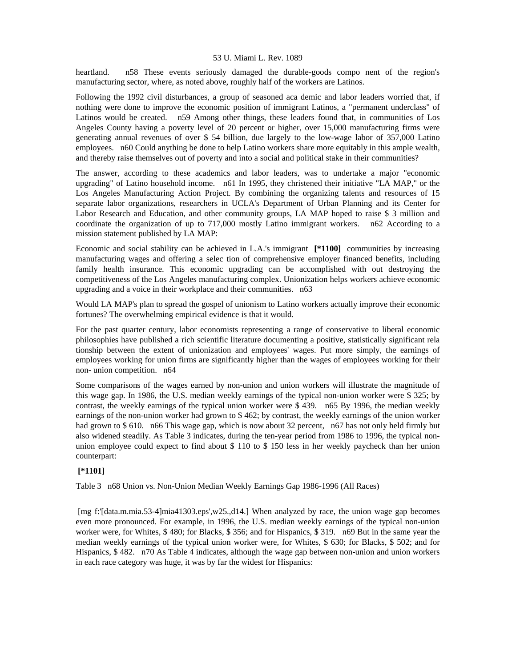heartland. n58 These events seriously damaged the durable-goods compo nent of the region's manufacturing sector, where, as noted above, roughly half of the workers are Latinos.

Following the 1992 civil disturbances, a group of seasoned aca demic and labor leaders worried that, if nothing were done to improve the economic position of immigrant Latinos, a "permanent underclass" of Latinos would be created. n59 Among other things, these leaders found that, in communities of Los Angeles County having a poverty level of 20 percent or higher, over 15,000 manufacturing firms were generating annual revenues of over \$ 54 billion, due largely to the low-wage labor of 357,000 Latino employees. n60 Could anything be done to help Latino workers share more equitably in this ample wealth, and thereby raise themselves out of poverty and into a social and political stake in their communities?

The answer, according to these academics and labor leaders, was to undertake a major "economic upgrading" of Latino household income. n61 In 1995, they christened their initiative "LA MAP," or the Los Angeles Manufacturing Action Project. By combining the organizing talents and resources of 15 separate labor organizations, researchers in UCLA's Department of Urban Planning and its Center for Labor Research and Education, and other community groups, LA MAP hoped to raise \$ 3 million and coordinate the organization of up to 717,000 mostly Latino immigrant workers. n62 According to a mission statement published by LA MAP:

Economic and social stability can be achieved in L.A.'s immigrant **[\*1100]** communities by increasing manufacturing wages and offering a selec tion of comprehensive employer financed benefits, including family health insurance. This economic upgrading can be accomplished with out destroying the competitiveness of the Los Angeles manufacturing complex. Unionization helps workers achieve economic upgrading and a voice in their workplace and their communities. n63

Would LA MAP's plan to spread the gospel of unionism to Latino workers actually improve their economic fortunes? The overwhelming empirical evidence is that it would.

For the past quarter century, labor economists representing a range of conservative to liberal economic philosophies have published a rich scientific literature documenting a positive, statistically significant rela tionship between the extent of unionization and employees' wages. Put more simply, the earnings of employees working for union firms are significantly higher than the wages of employees working for their non- union competition. n64

Some comparisons of the wages earned by non-union and union workers will illustrate the magnitude of this wage gap. In 1986, the U.S. median weekly earnings of the typical non-union worker were \$ 325; by contrast, the weekly earnings of the typical union worker were \$ 439. n65 By 1996, the median weekly earnings of the non-union worker had grown to \$ 462; by contrast, the weekly earnings of the union worker had grown to \$ 610. n66 This wage gap, which is now about 32 percent, n67 has not only held firmly but also widened steadily. As Table 3 indicates, during the ten-year period from 1986 to 1996, the typical nonunion employee could expect to find about \$ 110 to \$ 150 less in her weekly paycheck than her union counterpart:

# **[\*1101]**

Table 3 n68 Union vs. Non-Union Median Weekly Earnings Gap 1986-1996 (All Races)

 [mg f:'[data.m.mia.53-4]mia41303.eps',w25.,d14.] When analyzed by race, the union wage gap becomes even more pronounced. For example, in 1996, the U.S. median weekly earnings of the typical non-union worker were, for Whites, \$ 480; for Blacks, \$ 356; and for Hispanics, \$ 319. n69 But in the same year the median weekly earnings of the typical union worker were, for Whites, \$ 630; for Blacks, \$ 502; and for Hispanics, \$ 482. n70 As Table 4 indicates, although the wage gap between non-union and union workers in each race category was huge, it was by far the widest for Hispanics: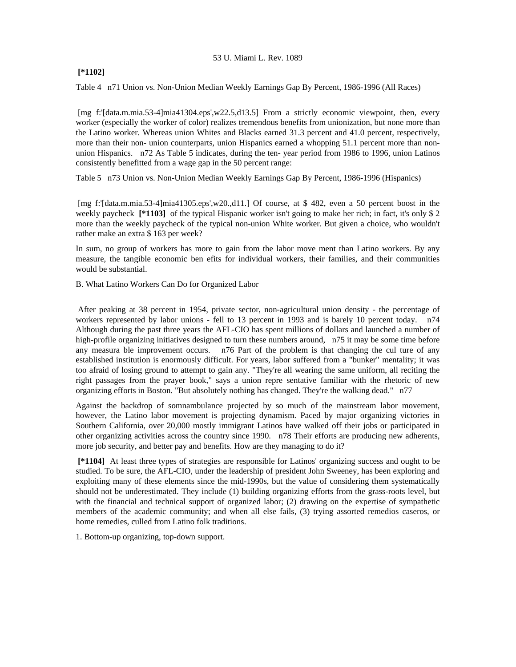# **[\*1102]**

Table 4 n71 Union vs. Non-Union Median Weekly Earnings Gap By Percent, 1986-1996 (All Races)

 [mg f:'[data.m.mia.53-4]mia41304.eps',w22.5,d13.5] From a strictly economic viewpoint, then, every worker (especially the worker of color) realizes tremendous benefits from unionization, but none more than the Latino worker. Whereas union Whites and Blacks earned 31.3 percent and 41.0 percent, respectively, more than their non- union counterparts, union Hispanics earned a whopping 51.1 percent more than nonunion Hispanics. n72 As Table 5 indicates, during the ten- year period from 1986 to 1996, union Latinos consistently benefitted from a wage gap in the 50 percent range:

Table 5 n73 Union vs. Non-Union Median Weekly Earnings Gap By Percent, 1986-1996 (Hispanics)

 [mg f:'[data.m.mia.53-4]mia41305.eps',w20.,d11.] Of course, at \$ 482, even a 50 percent boost in the weekly paycheck **[\*1103]** of the typical Hispanic worker isn't going to make her rich; in fact, it's only \$ 2 more than the weekly paycheck of the typical non-union White worker. But given a choice, who wouldn't rather make an extra \$ 163 per week?

In sum, no group of workers has more to gain from the labor move ment than Latino workers. By any measure, the tangible economic ben efits for individual workers, their families, and their communities would be substantial.

B. What Latino Workers Can Do for Organized Labor

 After peaking at 38 percent in 1954, private sector, non-agricultural union density - the percentage of workers represented by labor unions - fell to 13 percent in 1993 and is barely 10 percent today. n74 Although during the past three years the AFL-CIO has spent millions of dollars and launched a number of high-profile organizing initiatives designed to turn these numbers around, n<sup>75</sup> it may be some time before any measura ble improvement occurs. n76 Part of the problem is that changing the cul ture of any established institution is enormously difficult. For years, labor suffered from a "bunker" mentality; it was too afraid of losing ground to attempt to gain any. "They're all wearing the same uniform, all reciting the right passages from the prayer book," says a union repre sentative familiar with the rhetoric of new organizing efforts in Boston. "But absolutely nothing has changed. They're the walking dead." n77

Against the backdrop of somnambulance projected by so much of the mainstream labor movement, however, the Latino labor movement is projecting dynamism. Paced by major organizing victories in Southern California, over 20,000 mostly immigrant Latinos have walked off their jobs or participated in other organizing activities across the country since 1990. n78 Their efforts are producing new adherents, more job security, and better pay and benefits. How are they managing to do it?

 **[\*1104]** At least three types of strategies are responsible for Latinos' organizing success and ought to be studied. To be sure, the AFL-CIO, under the leadership of president John Sweeney, has been exploring and exploiting many of these elements since the mid-1990s, but the value of considering them systematically should not be underestimated. They include (1) building organizing efforts from the grass-roots level, but with the financial and technical support of organized labor; (2) drawing on the expertise of sympathetic members of the academic community; and when all else fails, (3) trying assorted remedios caseros, or home remedies, culled from Latino folk traditions.

1. Bottom-up organizing, top-down support.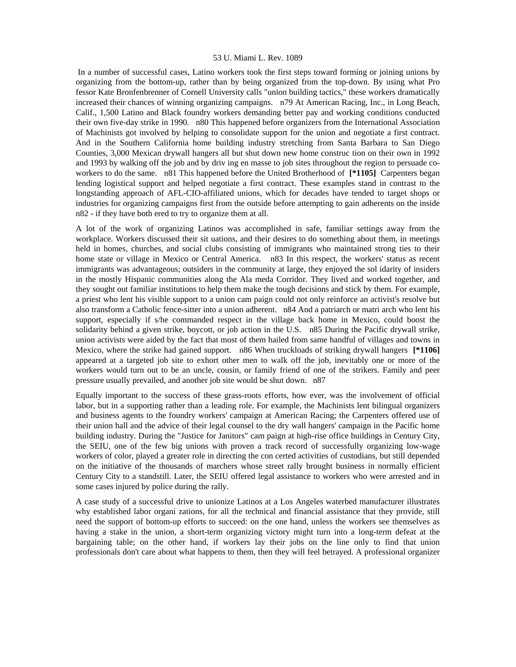In a number of successful cases, Latino workers took the first steps toward forming or joining unions by organizing from the bottom-up, rather than by being organized from the top-down. By using what Pro fessor Kate Bronfenbrenner of Cornell University calls "union building tactics," these workers dramatically increased their chances of winning organizing campaigns. n79 At American Racing, Inc., in Long Beach, Calif., 1,500 Latino and Black foundry workers demanding better pay and working conditions conducted their own five-day strike in 1990. n80 This happened before organizers from the International Association of Machinists got involved by helping to consolidate support for the union and negotiate a first contract. And in the Southern California home building industry stretching from Santa Barbara to San Diego Counties, 3,000 Mexican drywall hangers all but shut down new home construc tion on their own in 1992 and 1993 by walking off the job and by driv ing en masse to job sites throughout the region to persuade coworkers to do the same. n81 This happened before the United Brotherhood of **[\*1105]** Carpenters began lending logistical support and helped negotiate a first contract. These examples stand in contrast to the longstanding approach of AFL-CIO-affiliated unions, which for decades have tended to target shops or industries for organizing campaigns first from the outside before attempting to gain adherents on the inside n82 - if they have both ered to try to organize them at all.

A lot of the work of organizing Latinos was accomplished in safe, familiar settings away from the workplace. Workers discussed their sit uations, and their desires to do something about them, in meetings held in homes, churches, and social clubs consisting of immigrants who maintained strong ties to their home state or village in Mexico or Central America. n83 In this respect, the workers' status as recent immigrants was advantageous; outsiders in the community at large, they enjoyed the sol idarity of insiders in the mostly Hispanic communities along the Ala meda Corridor. They lived and worked together, and they sought out familiar institutions to help them make the tough decisions and stick by them. For example, a priest who lent his visible support to a union cam paign could not only reinforce an activist's resolve but also transform a Catholic fence-sitter into a union adherent. n84 And a patriarch or matri arch who lent his support, especially if s/he commanded respect in the village back home in Mexico, could boost the solidarity behind a given strike, boycott, or job action in the U.S. n85 During the Pacific drywall strike, union activists were aided by the fact that most of them hailed from same handful of villages and towns in Mexico, where the strike had gained support. n86 When truckloads of striking drywall hangers **[\*1106]**  appeared at a targeted job site to exhort other men to walk off the job, inevitably one or more of the workers would turn out to be an uncle, cousin, or family friend of one of the strikers. Family and peer pressure usually prevailed, and another job site would be shut down. n87

Equally important to the success of these grass-roots efforts, how ever, was the involvement of official labor, but in a supporting rather than a leading role. For example, the Machinists lent bilingual organizers and business agents to the foundry workers' campaign at American Racing; the Carpenters offered use of their union hall and the advice of their legal counsel to the dry wall hangers' campaign in the Pacific home building industry. During the "Justice for Janitors" cam paign at high-rise office buildings in Century City, the SEIU, one of the few big unions with proven a track record of successfully organizing low-wage workers of color, played a greater role in directing the con certed activities of custodians, but still depended on the initiative of the thousands of marchers whose street rally brought business in normally efficient Century City to a standstill. Later, the SEIU offered legal assistance to workers who were arrested and in some cases injured by police during the rally.

A case study of a successful drive to unionize Latinos at a Los Angeles waterbed manufacturer illustrates why established labor organi zations, for all the technical and financial assistance that they provide, still need the support of bottom-up efforts to succeed: on the one hand, unless the workers see themselves as having a stake in the union, a short-term organizing victory might turn into a long-term defeat at the bargaining table; on the other hand, if workers lay their jobs on the line only to find that union professionals don't care about what happens to them, then they will feel betrayed. A professional organizer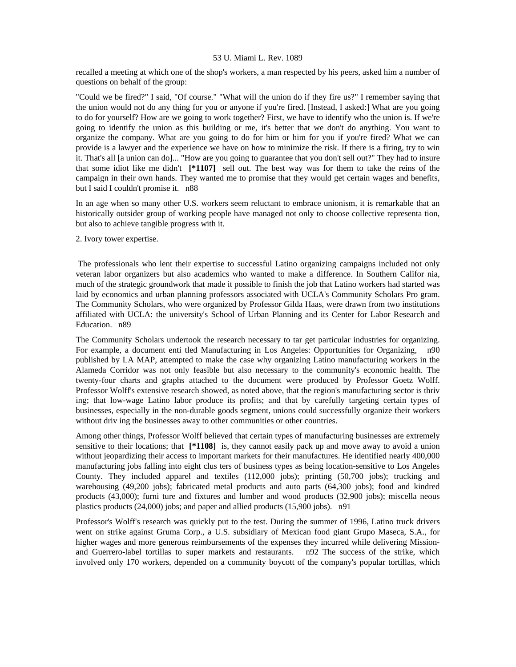recalled a meeting at which one of the shop's workers, a man respected by his peers, asked him a number of questions on behalf of the group:

"Could we be fired?" I said, "Of course." "What will the union do if they fire us?" I remember saying that the union would not do any thing for you or anyone if you're fired. [Instead, I asked:] What are you going to do for yourself? How are we going to work together? First, we have to identify who the union is. If we're going to identify the union as this building or me, it's better that we don't do anything. You want to organize the company. What are you going to do for him or him for you if you're fired? What we can provide is a lawyer and the experience we have on how to minimize the risk. If there is a firing, try to win it. That's all [a union can do]... "How are you going to guarantee that you don't sell out?" They had to insure that some idiot like me didn't **[\*1107]** sell out. The best way was for them to take the reins of the campaign in their own hands. They wanted me to promise that they would get certain wages and benefits, but I said I couldn't promise it. n88

In an age when so many other U.S. workers seem reluctant to embrace unionism, it is remarkable that an historically outsider group of working people have managed not only to choose collective representa tion, but also to achieve tangible progress with it.

# 2. Ivory tower expertise.

 The professionals who lent their expertise to successful Latino organizing campaigns included not only veteran labor organizers but also academics who wanted to make a difference. In Southern Califor nia, much of the strategic groundwork that made it possible to finish the job that Latino workers had started was laid by economics and urban planning professors associated with UCLA's Community Scholars Pro gram. The Community Scholars, who were organized by Professor Gilda Haas, were drawn from two institutions affiliated with UCLA: the university's School of Urban Planning and its Center for Labor Research and Education. n89

The Community Scholars undertook the research necessary to tar get particular industries for organizing. For example, a document enti tled Manufacturing in Los Angeles: Opportunities for Organizing, n90 published by LA MAP, attempted to make the case why organizing Latino manufacturing workers in the Alameda Corridor was not only feasible but also necessary to the community's economic health. The twenty-four charts and graphs attached to the document were produced by Professor Goetz Wolff. Professor Wolff's extensive research showed, as noted above, that the region's manufacturing sector is thriv ing; that low-wage Latino labor produce its profits; and that by carefully targeting certain types of businesses, especially in the non-durable goods segment, unions could successfully organize their workers without driv ing the businesses away to other communities or other countries.

Among other things, Professor Wolff believed that certain types of manufacturing businesses are extremely sensitive to their locations; that **[\*1108]** is, they cannot easily pack up and move away to avoid a union without jeopardizing their access to important markets for their manufactures. He identified nearly 400,000 manufacturing jobs falling into eight clus ters of business types as being location-sensitive to Los Angeles County. They included apparel and textiles (112,000 jobs); printing (50,700 jobs); trucking and warehousing (49,200 jobs); fabricated metal products and auto parts (64,300 jobs); food and kindred products (43,000); furni ture and fixtures and lumber and wood products (32,900 jobs); miscella neous plastics products (24,000) jobs; and paper and allied products (15,900 jobs). n91

Professor's Wolff's research was quickly put to the test. During the summer of 1996, Latino truck drivers went on strike against Gruma Corp., a U.S. subsidiary of Mexican food giant Grupo Maseca, S.A., for higher wages and more generous reimbursements of the expenses they incurred while delivering Missionand Guerrero-label tortillas to super markets and restaurants. n92 The success of the strike, which involved only 170 workers, depended on a community boycott of the company's popular tortillas, which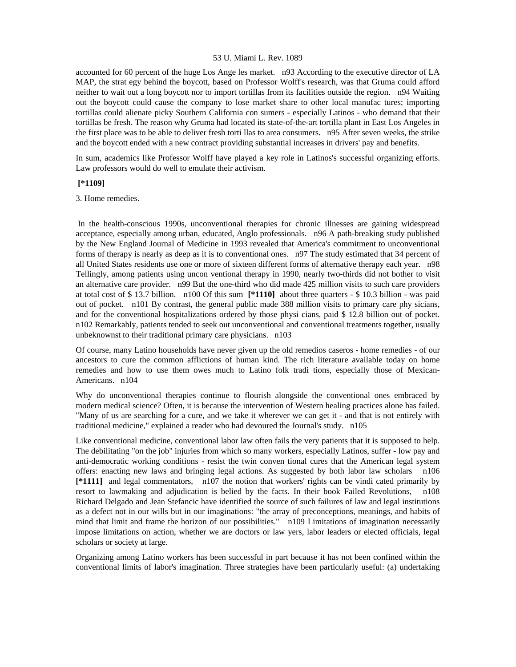accounted for 60 percent of the huge Los Ange les market. n93 According to the executive director of LA MAP, the strat egy behind the boycott, based on Professor Wolff's research, was that Gruma could afford neither to wait out a long boycott nor to import tortillas from its facilities outside the region. n94 Waiting out the boycott could cause the company to lose market share to other local manufac tures; importing tortillas could alienate picky Southern California con sumers - especially Latinos - who demand that their tortillas be fresh. The reason why Gruma had located its state-of-the-art tortilla plant in East Los Angeles in the first place was to be able to deliver fresh torti llas to area consumers. n95 After seven weeks, the strike and the boycott ended with a new contract providing substantial increases in drivers' pay and benefits.

In sum, academics like Professor Wolff have played a key role in Latinos's successful organizing efforts. Law professors would do well to emulate their activism.

# **[\*1109]**

3. Home remedies.

 In the health-conscious 1990s, unconventional therapies for chronic illnesses are gaining widespread acceptance, especially among urban, educated, Anglo professionals. n96 A path-breaking study published by the New England Journal of Medicine in 1993 revealed that America's commitment to unconventional forms of therapy is nearly as deep as it is to conventional ones. n97 The study estimated that 34 percent of all United States residents use one or more of sixteen different forms of alternative therapy each year. n98 Tellingly, among patients using uncon ventional therapy in 1990, nearly two-thirds did not bother to visit an alternative care provider. n99 But the one-third who did made 425 million visits to such care providers at total cost of \$ 13.7 billion. n100 Of this sum **[\*1110]** about three quarters - \$ 10.3 billion - was paid out of pocket. n101 By contrast, the general public made 388 million visits to primary care phy sicians, and for the conventional hospitalizations ordered by those physi cians, paid \$ 12.8 billion out of pocket. n102 Remarkably, patients tended to seek out unconventional and conventional treatments together, usually unbeknownst to their traditional primary care physicians. n103

Of course, many Latino households have never given up the old remedios caseros - home remedies - of our ancestors to cure the common afflictions of human kind. The rich literature available today on home remedies and how to use them owes much to Latino folk tradi tions, especially those of Mexican-Americans. n104

Why do unconventional therapies continue to flourish alongside the conventional ones embraced by modern medical science? Often, it is because the intervention of Western healing practices alone has failed. "Many of us are searching for a cure, and we take it wherever we can get it - and that is not entirely with traditional medicine," explained a reader who had devoured the Journal's study. n105

Like conventional medicine, conventional labor law often fails the very patients that it is supposed to help. The debilitating "on the job" injuries from which so many workers, especially Latinos, suffer - low pay and anti-democratic working conditions - resist the twin conven tional cures that the American legal system offers: enacting new laws and bringing legal actions. As suggested by both labor law scholars n106 **[\*1111]** and legal commentators, n107 the notion that workers' rights can be vindi cated primarily by resort to lawmaking and adjudication is belied by the facts. In their book Failed Revolutions, n108 Richard Delgado and Jean Stefancic have identified the source of such failures of law and legal institutions as a defect not in our wills but in our imaginations: "the array of preconceptions, meanings, and habits of mind that limit and frame the horizon of our possibilities." n109 Limitations of imagination necessarily impose limitations on action, whether we are doctors or law yers, labor leaders or elected officials, legal scholars or society at large.

Organizing among Latino workers has been successful in part because it has not been confined within the conventional limits of labor's imagination. Three strategies have been particularly useful: (a) undertaking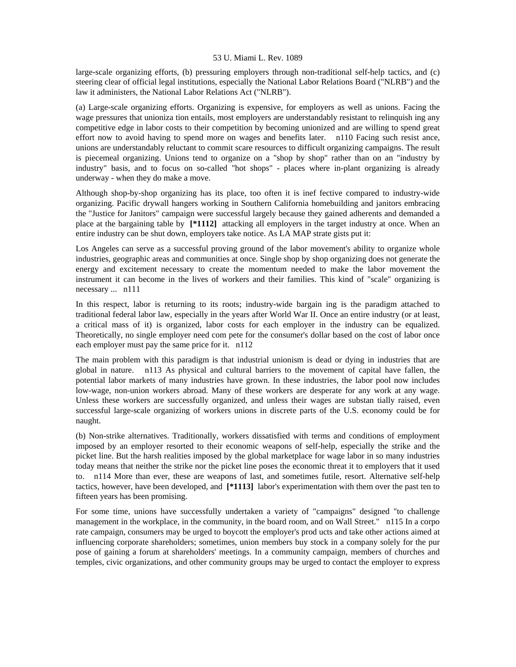large-scale organizing efforts, (b) pressuring employers through non-traditional self-help tactics, and (c) steering clear of official legal institutions, especially the National Labor Relations Board ("NLRB") and the law it administers, the National Labor Relations Act ("NLRB").

(a) Large-scale organizing efforts. Organizing is expensive, for employers as well as unions. Facing the wage pressures that unioniza tion entails, most employers are understandably resistant to relinquish ing any competitive edge in labor costs to their competition by becoming unionized and are willing to spend great effort now to avoid having to spend more on wages and benefits later. n110 Facing such resist ance, unions are understandably reluctant to commit scare resources to difficult organizing campaigns. The result is piecemeal organizing. Unions tend to organize on a "shop by shop" rather than on an "industry by industry" basis, and to focus on so-called "hot shops" - places where in-plant organizing is already underway - when they do make a move.

Although shop-by-shop organizing has its place, too often it is inef fective compared to industry-wide organizing. Pacific drywall hangers working in Southern California homebuilding and janitors embracing the "Justice for Janitors" campaign were successful largely because they gained adherents and demanded a place at the bargaining table by **[\*1112]** attacking all employers in the target industry at once. When an entire industry can be shut down, employers take notice. As LA MAP strate gists put it:

Los Angeles can serve as a successful proving ground of the labor movement's ability to organize whole industries, geographic areas and communities at once. Single shop by shop organizing does not generate the energy and excitement necessary to create the momentum needed to make the labor movement the instrument it can become in the lives of workers and their families. This kind of "scale" organizing is necessary ... n111

In this respect, labor is returning to its roots; industry-wide bargain ing is the paradigm attached to traditional federal labor law, especially in the years after World War II. Once an entire industry (or at least, a critical mass of it) is organized, labor costs for each employer in the industry can be equalized. Theoretically, no single employer need com pete for the consumer's dollar based on the cost of labor once each employer must pay the same price for it. n112

The main problem with this paradigm is that industrial unionism is dead or dying in industries that are global in nature. n113 As physical and cultural barriers to the movement of capital have fallen, the potential labor markets of many industries have grown. In these industries, the labor pool now includes low-wage, non-union workers abroad. Many of these workers are desperate for any work at any wage. Unless these workers are successfully organized, and unless their wages are substan tially raised, even successful large-scale organizing of workers unions in discrete parts of the U.S. economy could be for naught.

(b) Non-strike alternatives. Traditionally, workers dissatisfied with terms and conditions of employment imposed by an employer resorted to their economic weapons of self-help, especially the strike and the picket line. But the harsh realities imposed by the global marketplace for wage labor in so many industries today means that neither the strike nor the picket line poses the economic threat it to employers that it used to. n114 More than ever, these are weapons of last, and sometimes futile, resort. Alternative self-help tactics, however, have been developed, and **[\*1113]** labor's experimentation with them over the past ten to fifteen years has been promising.

For some time, unions have successfully undertaken a variety of "campaigns" designed "to challenge management in the workplace, in the community, in the board room, and on Wall Street." n115 In a corpo rate campaign, consumers may be urged to boycott the employer's prod ucts and take other actions aimed at influencing corporate shareholders; sometimes, union members buy stock in a company solely for the pur pose of gaining a forum at shareholders' meetings. In a community campaign, members of churches and temples, civic organizations, and other community groups may be urged to contact the employer to express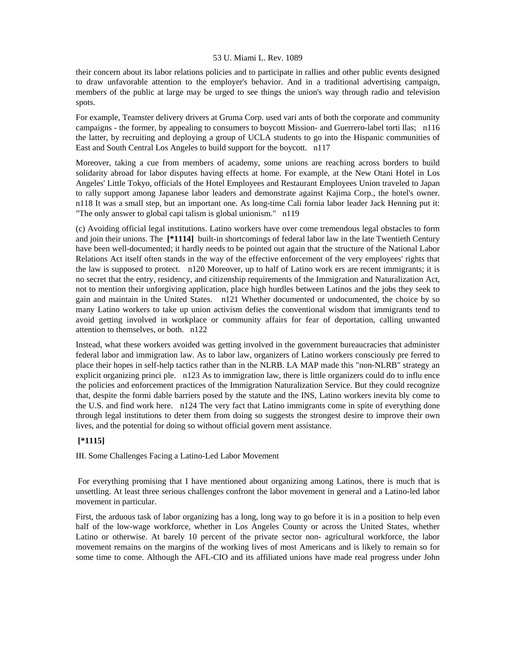their concern about its labor relations policies and to participate in rallies and other public events designed to draw unfavorable attention to the employer's behavior. And in a traditional advertising campaign, members of the public at large may be urged to see things the union's way through radio and television spots.

For example, Teamster delivery drivers at Gruma Corp. used vari ants of both the corporate and community campaigns - the former, by appealing to consumers to boycott Mission- and Guerrero-label torti llas; n116 the latter, by recruiting and deploying a group of UCLA students to go into the Hispanic communities of East and South Central Los Angeles to build support for the boycott. n117

Moreover, taking a cue from members of academy, some unions are reaching across borders to build solidarity abroad for labor disputes having effects at home. For example, at the New Otani Hotel in Los Angeles' Little Tokyo, officials of the Hotel Employees and Restaurant Employees Union traveled to Japan to rally support among Japanese labor leaders and demonstrate against Kajima Corp., the hotel's owner. n118 It was a small step, but an important one. As long-time Cali fornia labor leader Jack Henning put it: "The only answer to global capi talism is global unionism." n119

(c) Avoiding official legal institutions. Latino workers have over come tremendous legal obstacles to form and join their unions. The **[\*1114]** built-in shortcomings of federal labor law in the late Twentieth Century have been well-documented; it hardly needs to be pointed out again that the structure of the National Labor Relations Act itself often stands in the way of the effective enforcement of the very employees' rights that the law is supposed to protect. n120 Moreover, up to half of Latino work ers are recent immigrants; it is no secret that the entry, residency, and citizenship requirements of the Immigration and Naturalization Act, not to mention their unforgiving application, place high hurdles between Latinos and the jobs they seek to gain and maintain in the United States. n121 Whether documented or undocumented, the choice by so many Latino workers to take up union activism defies the conventional wisdom that immigrants tend to avoid getting involved in workplace or community affairs for fear of deportation, calling unwanted attention to themselves, or both. n122

Instead, what these workers avoided was getting involved in the government bureaucracies that administer federal labor and immigration law. As to labor law, organizers of Latino workers consciously pre ferred to place their hopes in self-help tactics rather than in the NLRB. LA MAP made this "non-NLRB" strategy an explicit organizing princi ple. n123 As to immigration law, there is little organizers could do to influ ence the policies and enforcement practices of the Immigration Naturalization Service. But they could recognize that, despite the formi dable barriers posed by the statute and the INS, Latino workers inevita bly come to the U.S. and find work here. n124 The very fact that Latino immigrants come in spite of everything done through legal institutions to deter them from doing so suggests the strongest desire to improve their own lives, and the potential for doing so without official govern ment assistance.

# **[\*1115]**

III. Some Challenges Facing a Latino-Led Labor Movement

 For everything promising that I have mentioned about organizing among Latinos, there is much that is unsettling. At least three serious challenges confront the labor movement in general and a Latino-led labor movement in particular.

First, the arduous task of labor organizing has a long, long way to go before it is in a position to help even half of the low-wage workforce, whether in Los Angeles County or across the United States, whether Latino or otherwise. At barely 10 percent of the private sector non- agricultural workforce, the labor movement remains on the margins of the working lives of most Americans and is likely to remain so for some time to come. Although the AFL-CIO and its affiliated unions have made real progress under John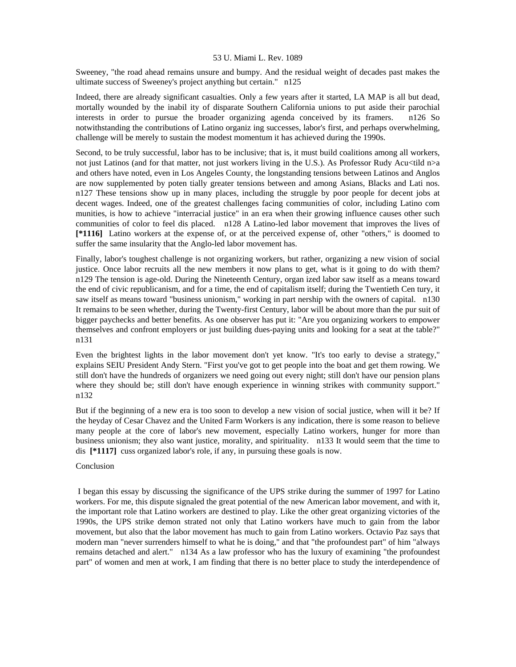Sweeney, "the road ahead remains unsure and bumpy. And the residual weight of decades past makes the ultimate success of Sweeney's project anything but certain." n125

Indeed, there are already significant casualties. Only a few years after it started, LA MAP is all but dead, mortally wounded by the inabil ity of disparate Southern California unions to put aside their parochial interests in order to pursue the broader organizing agenda conceived by its framers. n126 So notwithstanding the contributions of Latino organiz ing successes, labor's first, and perhaps overwhelming, challenge will be merely to sustain the modest momentum it has achieved during the 1990s.

Second, to be truly successful, labor has to be inclusive; that is, it must build coalitions among all workers, not just Latinos (and for that matter, not just workers living in the U.S.). As Professor Rudy Acu<tild  $n>a$ and others have noted, even in Los Angeles County, the longstanding tensions between Latinos and Anglos are now supplemented by poten tially greater tensions between and among Asians, Blacks and Lati nos. n127 These tensions show up in many places, including the struggle by poor people for decent jobs at decent wages. Indeed, one of the greatest challenges facing communities of color, including Latino com munities, is how to achieve "interracial justice" in an era when their growing influence causes other such communities of color to feel dis placed. n128 A Latino-led labor movement that improves the lives of **[\*1116]** Latino workers at the expense of, or at the perceived expense of, other "others," is doomed to suffer the same insularity that the Anglo-led labor movement has.

Finally, labor's toughest challenge is not organizing workers, but rather, organizing a new vision of social justice. Once labor recruits all the new members it now plans to get, what is it going to do with them? n129 The tension is age-old. During the Nineteenth Century, organ ized labor saw itself as a means toward the end of civic republicanism, and for a time, the end of capitalism itself; during the Twentieth Cen tury, it saw itself as means toward "business unionism," working in part nership with the owners of capital. n130 It remains to be seen whether, during the Twenty-first Century, labor will be about more than the pur suit of bigger paychecks and better benefits. As one observer has put it: "Are you organizing workers to empower themselves and confront employers or just building dues-paying units and looking for a seat at the table?" n131

Even the brightest lights in the labor movement don't yet know. "It's too early to devise a strategy," explains SEIU President Andy Stern. "First you've got to get people into the boat and get them rowing. We still don't have the hundreds of organizers we need going out every night; still don't have our pension plans where they should be; still don't have enough experience in winning strikes with community support." n132

But if the beginning of a new era is too soon to develop a new vision of social justice, when will it be? If the heyday of Cesar Chavez and the United Farm Workers is any indication, there is some reason to believe many people at the core of labor's new movement, especially Latino workers, hunger for more than business unionism; they also want justice, morality, and spirituality. n133 It would seem that the time to dis **[\*1117]** cuss organized labor's role, if any, in pursuing these goals is now.

## Conclusion

 I began this essay by discussing the significance of the UPS strike during the summer of 1997 for Latino workers. For me, this dispute signaled the great potential of the new American labor movement, and with it, the important role that Latino workers are destined to play. Like the other great organizing victories of the 1990s, the UPS strike demon strated not only that Latino workers have much to gain from the labor movement, but also that the labor movement has much to gain from Latino workers. Octavio Paz says that modern man "never surrenders himself to what he is doing," and that "the profoundest part" of him "always remains detached and alert." n134 As a law professor who has the luxury of examining "the profoundest part" of women and men at work, I am finding that there is no better place to study the interdependence of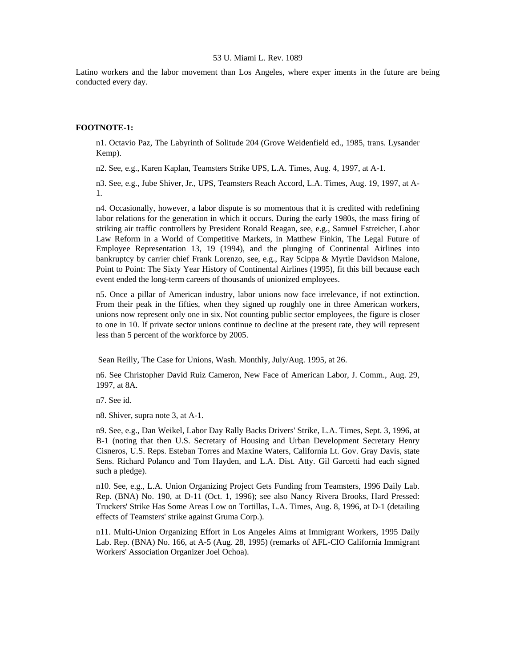Latino workers and the labor movement than Los Angeles, where exper iments in the future are being conducted every day.

# **FOOTNOTE-1:**

n1. Octavio Paz, The Labyrinth of Solitude 204 (Grove Weidenfield ed., 1985, trans. Lysander Kemp).

n2. See, e.g., Karen Kaplan, Teamsters Strike UPS, L.A. Times, Aug. 4, 1997, at A-1.

n3. See, e.g., Jube Shiver, Jr., UPS, Teamsters Reach Accord, L.A. Times, Aug. 19, 1997, at A-1.

n4. Occasionally, however, a labor dispute is so momentous that it is credited with redefining labor relations for the generation in which it occurs. During the early 1980s, the mass firing of striking air traffic controllers by President Ronald Reagan, see, e.g., Samuel Estreicher, Labor Law Reform in a World of Competitive Markets, in Matthew Finkin, The Legal Future of Employee Representation 13, 19 (1994), and the plunging of Continental Airlines into bankruptcy by carrier chief Frank Lorenzo, see, e.g., Ray Scippa & Myrtle Davidson Malone, Point to Point: The Sixty Year History of Continental Airlines (1995), fit this bill because each event ended the long-term careers of thousands of unionized employees.

n5. Once a pillar of American industry, labor unions now face irrelevance, if not extinction. From their peak in the fifties, when they signed up roughly one in three American workers, unions now represent only one in six. Not counting public sector employees, the figure is closer to one in 10. If private sector unions continue to decline at the present rate, they will represent less than 5 percent of the workforce by 2005.

Sean Reilly, The Case for Unions, Wash. Monthly, July/Aug. 1995, at 26.

n6. See Christopher David Ruiz Cameron, New Face of American Labor, J. Comm., Aug. 29, 1997, at 8A.

n7. See id.

n8. Shiver, supra note 3, at A-1.

n9. See, e.g., Dan Weikel, Labor Day Rally Backs Drivers' Strike, L.A. Times, Sept. 3, 1996, at B-1 (noting that then U.S. Secretary of Housing and Urban Development Secretary Henry Cisneros, U.S. Reps. Esteban Torres and Maxine Waters, California Lt. Gov. Gray Davis, state Sens. Richard Polanco and Tom Hayden, and L.A. Dist. Atty. Gil Garcetti had each signed such a pledge).

n10. See, e.g., L.A. Union Organizing Project Gets Funding from Teamsters, 1996 Daily Lab. Rep. (BNA) No. 190, at D-11 (Oct. 1, 1996); see also Nancy Rivera Brooks, Hard Pressed: Truckers' Strike Has Some Areas Low on Tortillas, L.A. Times, Aug. 8, 1996, at D-1 (detailing effects of Teamsters' strike against Gruma Corp.).

n11. Multi-Union Organizing Effort in Los Angeles Aims at Immigrant Workers, 1995 Daily Lab. Rep. (BNA) No. 166, at A-5 (Aug. 28, 1995) (remarks of AFL-CIO California Immigrant Workers' Association Organizer Joel Ochoa).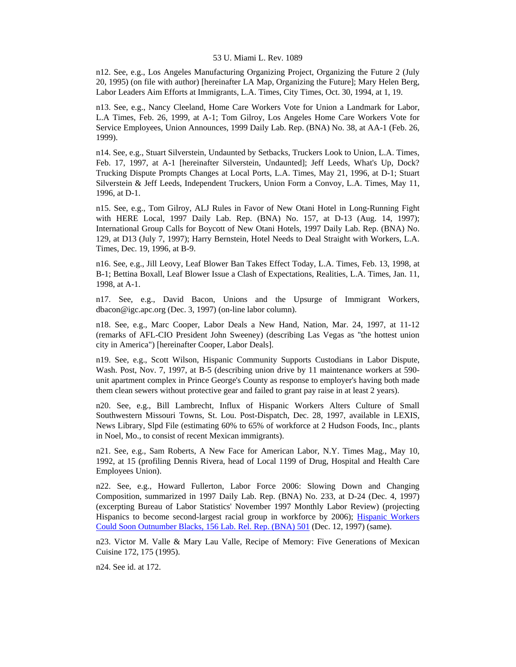n12. See, e.g., Los Angeles Manufacturing Organizing Project, Organizing the Future 2 (July 20, 1995) (on file with author) [hereinafter LA Map, Organizing the Future]; Mary Helen Berg, Labor Leaders Aim Efforts at Immigrants, L.A. Times, City Times, Oct. 30, 1994, at 1, 19.

n13. See, e.g., Nancy Cleeland, Home Care Workers Vote for Union a Landmark for Labor, L.A Times, Feb. 26, 1999, at A-1; Tom Gilroy, Los Angeles Home Care Workers Vote for Service Employees, Union Announces, 1999 Daily Lab. Rep. (BNA) No. 38, at AA-1 (Feb. 26, 1999).

n14. See, e.g., Stuart Silverstein, Undaunted by Setbacks, Truckers Look to Union, L.A. Times, Feb. 17, 1997, at A-1 [hereinafter Silverstein, Undaunted]; Jeff Leeds, What's Up, Dock? Trucking Dispute Prompts Changes at Local Ports, L.A. Times, May 21, 1996, at D-1; Stuart Silverstein & Jeff Leeds, Independent Truckers, Union Form a Convoy, L.A. Times, May 11, 1996, at D-1.

n15. See, e.g., Tom Gilroy, ALJ Rules in Favor of New Otani Hotel in Long-Running Fight with HERE Local, 1997 Daily Lab. Rep. (BNA) No. 157, at D-13 (Aug. 14, 1997); International Group Calls for Boycott of New Otani Hotels, 1997 Daily Lab. Rep. (BNA) No. 129, at D13 (July 7, 1997); Harry Bernstein, Hotel Needs to Deal Straight with Workers, L.A. Times, Dec. 19, 1996, at B-9.

n16. See, e.g., Jill Leovy, Leaf Blower Ban Takes Effect Today, L.A. Times, Feb. 13, 1998, at B-1; Bettina Boxall, Leaf Blower Issue a Clash of Expectations, Realities, L.A. Times, Jan. 11, 1998, at A-1.

n17. See, e.g., David Bacon, Unions and the Upsurge of Immigrant Workers, dbacon@igc.apc.org (Dec. 3, 1997) (on-line labor column).

n18. See, e.g., Marc Cooper, Labor Deals a New Hand, Nation, Mar. 24, 1997, at 11-12 (remarks of AFL-CIO President John Sweeney) (describing Las Vegas as "the hottest union city in America") [hereinafter Cooper, Labor Deals].

n19. See, e.g., Scott Wilson, Hispanic Community Supports Custodians in Labor Dispute, Wash. Post, Nov. 7, 1997, at B-5 (describing union drive by 11 maintenance workers at 590 unit apartment complex in Prince George's County as response to employer's having both made them clean sewers without protective gear and failed to grant pay raise in at least 2 years).

n20. See, e.g., Bill Lambrecht, Influx of Hispanic Workers Alters Culture of Small Southwestern Missouri Towns, St. Lou. Post-Dispatch, Dec. 28, 1997, available in LEXIS, News Library, Slpd File (estimating 60% to 65% of workforce at 2 Hudson Foods, Inc., plants in Noel, Mo., to consist of recent Mexican immigrants).

n21. See, e.g., Sam Roberts, A New Face for American Labor, N.Y. Times Mag., May 10, 1992, at 15 (profiling Dennis Rivera, head of Local 1199 of Drug, Hospital and Health Care Employees Union).

n22. See, e.g., Howard Fullerton, Labor Force 2006: Slowing Down and Changing Composition, summarized in 1997 Daily Lab. Rep. (BNA) No. 233, at D-24 (Dec. 4, 1997) (excerpting Bureau of Labor Statistics' November 1997 Monthly Labor Review) (projecting Hispanics to become second-largest racial group in workforce by 2006); [Hispanic Workers](http://www.lexis.com/research/xlink?searchtype=get&search=156%20L.R.R.M.%20501)  [Could Soon Outnumber Blacks, 156 Lab. Rel. Rep. \(BNA\) 501](http://www.lexis.com/research/xlink?searchtype=get&search=156%20L.R.R.M.%20501) (Dec. 12, 1997) (same).

n23. Victor M. Valle & Mary Lau Valle, Recipe of Memory: Five Generations of Mexican Cuisine 172, 175 (1995).

n24. See id. at 172.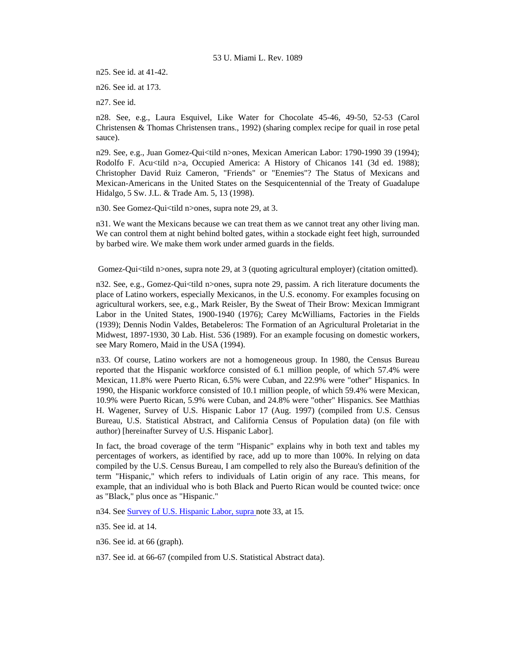n25. See id. at 41-42.

n26. See id. at 173.

n27. See id.

n28. See, e.g., Laura Esquivel, Like Water for Chocolate 45-46, 49-50, 52-53 (Carol Christensen & Thomas Christensen trans., 1992) (sharing complex recipe for quail in rose petal sauce).

n29. See, e.g., Juan Gomez-Qui<tild n>ones, Mexican American Labor: 1790-1990 39 (1994); Rodolfo F. Acu<tild n>a, Occupied America: A History of Chicanos 141 (3d ed. 1988); Christopher David Ruiz Cameron, "Friends" or "Enemies"? The Status of Mexicans and Mexican-Americans in the United States on the Sesquicentennial of the Treaty of Guadalupe Hidalgo, 5 Sw. J.L. & Trade Am. 5, 13 (1998).

n30. See Gomez-Qui<tild n>ones, supra note 29, at 3.

n31. We want the Mexicans because we can treat them as we cannot treat any other living man. We can control them at night behind bolted gates, within a stockade eight feet high, surrounded by barbed wire. We make them work under armed guards in the fields.

Gomez-Qui<tild n>ones, supra note 29, at 3 (quoting agricultural employer) (citation omitted).

n32. See, e.g., Gomez-Qui<tild n>ones, supra note 29, passim. A rich literature documents the place of Latino workers, especially Mexicanos, in the U.S. economy. For examples focusing on agricultural workers, see, e.g., Mark Reisler, By the Sweat of Their Brow: Mexican Immigrant Labor in the United States, 1900-1940 (1976); Carey McWilliams, Factories in the Fields (1939); Dennis Nodin Valdes, Betabeleros: The Formation of an Agricultural Proletariat in the Midwest, 1897-1930, 30 Lab. Hist. 536 (1989). For an example focusing on domestic workers, see Mary Romero, Maid in the USA (1994).

n33. Of course, Latino workers are not a homogeneous group. In 1980, the Census Bureau reported that the Hispanic workforce consisted of 6.1 million people, of which 57.4% were Mexican, 11.8% were Puerto Rican, 6.5% were Cuban, and 22.9% were "other" Hispanics. In 1990, the Hispanic workforce consisted of 10.1 million people, of which 59.4% were Mexican, 10.9% were Puerto Rican, 5.9% were Cuban, and 24.8% were "other" Hispanics. See Matthias H. Wagener, Survey of U.S. Hispanic Labor 17 (Aug. 1997) (compiled from U.S. Census Bureau, U.S. Statistical Abstract, and California Census of Population data) (on file with author) [hereinafter Survey of U.S. Hispanic Labor].

In fact, the broad coverage of the term "Hispanic" explains why in both text and tables my percentages of workers, as identified by race, add up to more than 100%. In relying on data compiled by the U.S. Census Bureau, I am compelled to rely also the Bureau's definition of the term "Hispanic," which refers to individuals of Latin origin of any race. This means, for example, that an individual who is both Black and Puerto Rican would be counted twice: once as "Black," plus once as "Hispanic."

n34. See [Survey of U.S. Hispanic Labor, supra n](http://www.lexis.com/research/xlink?searchtype=get&search=156%20L.R.R.M.%20501)ote 33, at 15.

n35. See id. at 14.

n36. See id. at 66 (graph).

n37. See id. at 66-67 (compiled from U.S. Statistical Abstract data).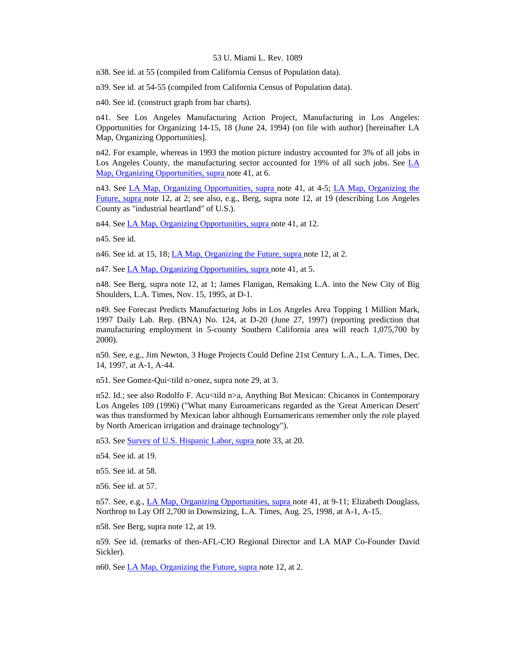n38. See id. at 55 (compiled from California Census of Population data).

n39. See id. at 54-55 (compiled from California Census of Population data).

n40. See id. (construct graph from bar charts).

n41. See Los Angeles Manufacturing Action Project, Manufacturing in Los Angeles: Opportunities for Organizing 14-15, 18 (June 24, 1994) (on file with author) [hereinafter LA Map, Organizing Opportunities].

n42. For example, whereas in 1993 the motion picture industry accounted for 3% of all jobs in Los Angeles County, the manufacturing sector accounted for 19% of all such jobs. See [LA](http://www.lexis.com/research/xlink?searchtype=get&search=150%20L.R.R.M.%2024)  [Map, Organizing Opportunities, supra n](http://www.lexis.com/research/xlink?searchtype=get&search=150%20L.R.R.M.%2024)ote 41, at 6.

n43. See [LA Map, Organizing Opportunities, supra n](http://www.lexis.com/research/xlink?searchtype=get&search=150%20L.R.R.M.%2024)ote 41, at 4-5; [LA Map, Organizing the](http://www.lexis.com/research/xlink?searchtype=get&search=150%20L.R.R.M.%2024)  [Future, supra](http://www.lexis.com/research/xlink?searchtype=get&search=150%20L.R.R.M.%2024) note 12, at 2; see also, e.g., Berg, supra note 12, at 19 (describing Los Angeles County as "industrial heartland" of U.S.).

n44. See [LA Map, Organizing Opportunities, supra n](http://www.lexis.com/research/xlink?searchtype=get&search=150%20L.R.R.M.%2024)ote 41, at 12.

n45. See id.

n46. See id. at 15, 18; *LA Map*, *Organizing the Future*, *supra note 12*, at 2.

n47. See [LA Map, Organizing Opportunities, supra n](http://www.lexis.com/research/xlink?searchtype=get&search=150%20L.R.R.M.%2024)ote 41, at 5.

n48. See Berg, supra note 12, at 1; James Flanigan, Remaking L.A. into the New City of Big Shoulders, L.A. Times, Nov. 15, 1995, at D-1.

n49. See Forecast Predicts Manufacturing Jobs in Los Angeles Area Topping 1 Million Mark, 1997 Daily Lab. Rep. (BNA) No. 124, at D-20 (June 27, 1997) (reporting prediction that manufacturing employment in 5-county Southern California area will reach 1,075,700 by 2000).

n50. See, e.g., Jim Newton, 3 Huge Projects Could Define 21st Century L.A., L.A. Times, Dec. 14, 1997, at A-1, A-44.

n51. See Gomez-Qui<tild n>onez, supra note 29, at 3.

n52. Id.; see also Rodolfo F. Acu<tild n>a, Anything But Mexican: Chicanos in Contemporary Los Angeles 109 (1996) ("What many Euroamericans regarded as the 'Great American Desert' was thus transformed by Mexican labor although Euroamericans remember only the role played by North American irrigation and drainage technology").

n53. See [Survey of U.S. Hispanic Labor, supra n](http://www.lexis.com/research/xlink?searchtype=get&search=156%20L.R.R.M.%20501)ote 33, at 20.

n54. See id. at 19.

n55. See id. at 58.

n56. See id. at 57.

n57. See, e.g., [LA Map, Organizing Opportunities, supra n](http://www.lexis.com/research/xlink?searchtype=get&search=150%20L.R.R.M.%2024)ote 41, at 9-11; Elizabeth Douglass, Northrop to Lay Off 2,700 in Downsizing, L.A. Times, Aug. 25, 1998, at A-1, A-15.

n58. See Berg, supra note 12, at 19.

n59. See id. (remarks of then-AFL-CIO Regional Director and LA MAP Co-Founder David Sickler).

n60. See [LA Map, Organizing the Future, supra n](http://www.lexis.com/research/xlink?searchtype=get&search=150%20L.R.R.M.%2024)ote 12, at 2.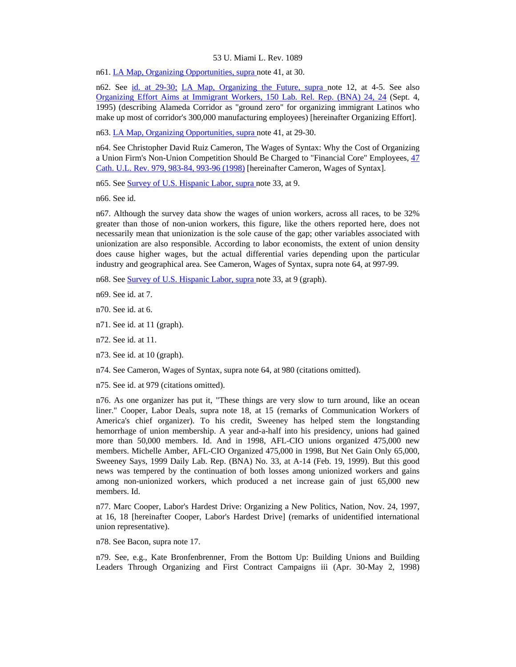n61. [LA Map, Organizing Opportunities, supra n](http://www.lexis.com/research/xlink?searchtype=get&search=150%20L.R.R.M.%2024)ote 41, at 30.

n62. See [id. at 29-30;](http://www.lexis.com/research/xlink?searchtype=get&search=150%20L.R.R.M.%2024,at%2029) [LA Map, Organizing the Future, supra n](http://www.lexis.com/research/xlink?searchtype=get&search=150%20L.R.R.M.%2024)ote 12, at 4-5. See also [Organizing Effort Aims at Immigrant Workers, 150 Lab. Rel. Rep. \(BNA\) 24, 24](http://www.lexis.com/research/xlink?searchtype=get&search=150%20L.R.R.M.%2024) (Sept. 4, 1995) (describing Alameda Corridor as "ground zero" for organizing immigrant Latinos who make up most of corridor's 300,000 manufacturing employees) [hereinafter Organizing Effort].

n63. [LA Map, Organizing Opportunities, supra n](http://www.lexis.com/research/xlink?searchtype=get&search=150%20L.R.R.M.%2024)ote 41, at 29-30.

n64. See Christopher David Ruiz Cameron, The Wages of Syntax: Why the Cost of Organizing a Union Firm's Non-Union Competition Should Be Charged to "Financial Core" Employees, [47](http://www.lexis.com/research/xlink?searchtype=get&search=47%20Cath.%20U.L.%20Rev.%20979,at%20983)  [Cath. U.L. Rev. 979, 983-84, 993-96 \(1998\)](http://www.lexis.com/research/xlink?searchtype=get&search=47%20Cath.%20U.L.%20Rev.%20979,at%20983) [hereinafter Cameron, Wages of Syntax].

n65. See [Survey of U.S. Hispanic Labor, supra n](http://www.lexis.com/research/xlink?searchtype=get&search=156%20L.R.R.M.%20501)ote 33, at 9.

n66. See id.

n67. Although the survey data show the wages of union workers, across all races, to be 32% greater than those of non-union workers, this figure, like the others reported here, does not necessarily mean that unionization is the sole cause of the gap; other variables associated with unionization are also responsible. According to labor economists, the extent of union density does cause higher wages, but the actual differential varies depending upon the particular industry and geographical area. See Cameron, Wages of Syntax, supra note 64, at 997-99.

n68. See [Survey of U.S. Hispanic Labor, supra n](http://www.lexis.com/research/xlink?searchtype=get&search=156%20L.R.R.M.%20501)ote 33, at 9 (graph).

n69. See id. at 7.

n70. See id. at 6.

n71. See id. at 11 (graph).

n72. See id. at 11.

n73. See id. at 10 (graph).

n74. See Cameron, Wages of Syntax, supra note 64, at 980 (citations omitted).

n75. See id. at 979 (citations omitted).

n76. As one organizer has put it, "These things are very slow to turn around, like an ocean liner." Cooper, Labor Deals, supra note 18, at 15 (remarks of Communication Workers of America's chief organizer). To his credit, Sweeney has helped stem the longstanding hemorrhage of union membership. A year and-a-half into his presidency, unions had gained more than 50,000 members. Id. And in 1998, AFL-CIO unions organized 475,000 new members. Michelle Amber, AFL-CIO Organized 475,000 in 1998, But Net Gain Only 65,000, Sweeney Says, 1999 Daily Lab. Rep. (BNA) No. 33, at A-14 (Feb. 19, 1999). But this good news was tempered by the continuation of both losses among unionized workers and gains among non-unionized workers, which produced a net increase gain of just 65,000 new members. Id.

n77. Marc Cooper, Labor's Hardest Drive: Organizing a New Politics, Nation, Nov. 24, 1997, at 16, 18 [hereinafter Cooper, Labor's Hardest Drive] (remarks of unidentified international union representative).

n78. See Bacon, supra note 17.

n79. See, e.g., Kate Bronfenbrenner, From the Bottom Up: Building Unions and Building Leaders Through Organizing and First Contract Campaigns iii (Apr. 30-May 2, 1998)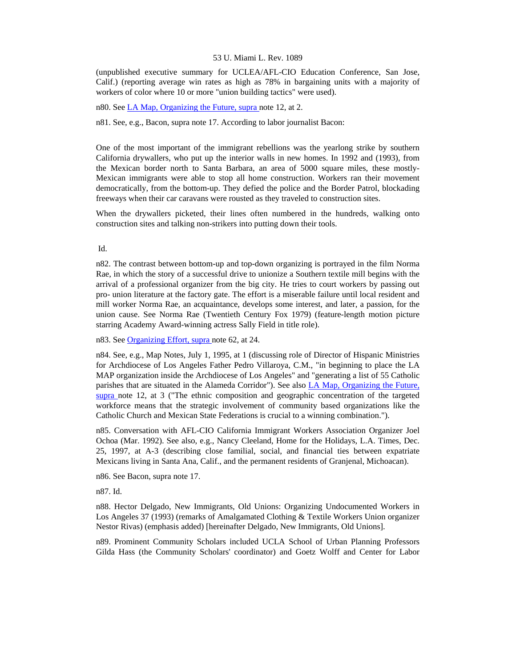(unpublished executive summary for UCLEA/AFL-CIO Education Conference, San Jose, Calif.) (reporting average win rates as high as 78% in bargaining units with a majority of workers of color where 10 or more "union building tactics" were used).

n80. See [LA Map, Organizing the Future, supra n](http://www.lexis.com/research/xlink?searchtype=get&search=150%20L.R.R.M.%2024)ote 12, at 2.

n81. See, e.g., Bacon, supra note 17. According to labor journalist Bacon:

One of the most important of the immigrant rebellions was the yearlong strike by southern California drywallers, who put up the interior walls in new homes. In 1992 and (1993), from the Mexican border north to Santa Barbara, an area of 5000 square miles, these mostly-Mexican immigrants were able to stop all home construction. Workers ran their movement democratically, from the bottom-up. They defied the police and the Border Patrol, blockading freeways when their car caravans were rousted as they traveled to construction sites.

When the drywallers picketed, their lines often numbered in the hundreds, walking onto construction sites and talking non-strikers into putting down their tools.

Id.

n82. The contrast between bottom-up and top-down organizing is portrayed in the film Norma Rae, in which the story of a successful drive to unionize a Southern textile mill begins with the arrival of a professional organizer from the big city. He tries to court workers by passing out pro- union literature at the factory gate. The effort is a miserable failure until local resident and mill worker Norma Rae, an acquaintance, develops some interest, and later, a passion, for the union cause. See Norma Rae (Twentieth Century Fox 1979) (feature-length motion picture starring Academy Award-winning actress Sally Field in title role).

n83. See [Organizing Effort, supra n](http://www.lexis.com/research/xlink?searchtype=get&search=150%20L.R.R.M.%2024)ote 62, at 24.

n84. See, e.g., Map Notes, July 1, 1995, at 1 (discussing role of Director of Hispanic Ministries for Archdiocese of Los Angeles Father Pedro Villaroya, C.M., "in beginning to place the LA MAP organization inside the Archdiocese of Los Angeles" and "generating a list of 55 Catholic parishes that are situated in the Alameda Corridor"). See also [LA Map, Organizing the Future,](http://www.lexis.com/research/xlink?searchtype=get&search=150%20L.R.R.M.%2024)  [supra](http://www.lexis.com/research/xlink?searchtype=get&search=150%20L.R.R.M.%2024) note 12, at 3 ("The ethnic composition and geographic concentration of the targeted workforce means that the strategic involvement of community based organizations like the Catholic Church and Mexican State Federations is crucial to a winning combination.").

n85. Conversation with AFL-CIO California Immigrant Workers Association Organizer Joel Ochoa (Mar. 1992). See also, e.g., Nancy Cleeland, Home for the Holidays, L.A. Times, Dec. 25, 1997, at A-3 (describing close familial, social, and financial ties between expatriate Mexicans living in Santa Ana, Calif., and the permanent residents of Granjenal, Michoacan).

n86. See Bacon, supra note 17.

n87. Id.

n88. Hector Delgado, New Immigrants, Old Unions: Organizing Undocumented Workers in Los Angeles 37 (1993) (remarks of Amalgamated Clothing & Textile Workers Union organizer Nestor Rivas) (emphasis added) [hereinafter Delgado, New Immigrants, Old Unions].

n89. Prominent Community Scholars included UCLA School of Urban Planning Professors Gilda Hass (the Community Scholars' coordinator) and Goetz Wolff and Center for Labor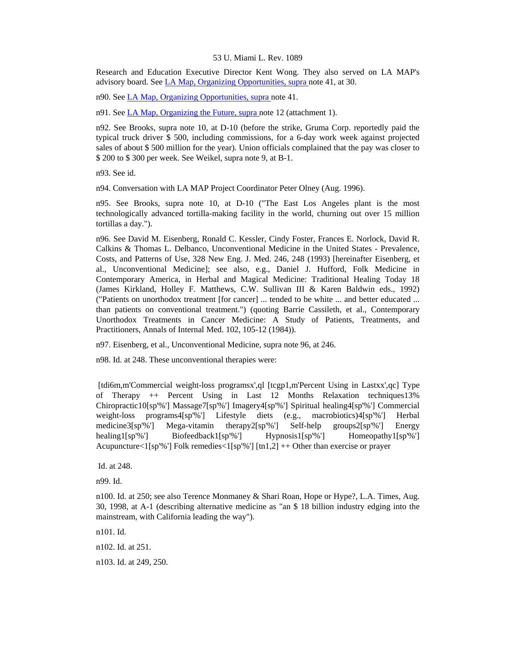Research and Education Executive Director Kent Wong. They also served on LA MAP's advisory board. See [LA Map, Organizing Opportunities, supra](http://www.lexis.com/research/xlink?searchtype=get&search=150%20L.R.R.M.%2024) note 41, at 30.

n90. See [LA Map, Organizing Opportunities, supra n](http://www.lexis.com/research/xlink?searchtype=get&search=150%20L.R.R.M.%2024)ote 41.

n91. See [LA Map, Organizing the Future, supra n](http://www.lexis.com/research/xlink?searchtype=get&search=150%20L.R.R.M.%2024)ote 12 (attachment 1).

n92. See Brooks, supra note 10, at D-10 (before the strike, Gruma Corp. reportedly paid the typical truck driver \$ 500, including commissions, for a 6-day work week against projected sales of about \$ 500 million for the year). Union officials complained that the pay was closer to \$ 200 to \$ 300 per week. See Weikel, supra note 9, at B-1.

n93. See id.

n94. Conversation with LA MAP Project Coordinator Peter Olney (Aug. 1996).

n95. See Brooks, supra note 10, at D-10 ("The East Los Angeles plant is the most technologically advanced tortilla-making facility in the world, churning out over 15 million tortillas a day.").

n96. See David M. Eisenberg, Ronald C. Kessler, Cindy Foster, Frances E. Norlock, David R. Calkins & Thomas L. Delbanco, Unconventional Medicine in the United States - Prevalence, Costs, and Patterns of Use, 328 New Eng. J. Med. 246, 248 (1993) [hereinafter Eisenberg, et al., Unconventional Medicine]; see also, e.g., Daniel J. Hufford, Folk Medicine in Contemporary America, in Herbal and Magical Medicine: Traditional Healing Today 18 (James Kirkland, Holley F. Matthews, C.W. Sullivan III & Karen Baldwin eds., 1992) ("Patients on unorthodox treatment [for cancer] ... tended to be white ... and better educated ... than patients on conventional treatment.") (quoting Barrie Cassileth, et al., Contemporary Unorthodox Treatments in Cancer Medicine: A Study of Patients, Treatments, and Practitioners, Annals of Internal Med. 102, 105-12 (1984)).

n97. Eisenberg, et al., Unconventional Medicine, supra note 96, at 246.

n98. Id. at 248. These unconventional therapies were:

 [tdi6m,m'Commercial weight-loss programsx',ql [tcgp1,m'Percent Using in Lastxx',qc] Type of Therapy ++ Percent Using in Last 12 Months Relaxation techniques13% Chiropractic10[sp'%'] Massage7[sp'%'] Imagery4[sp'%'] Spiritual healing4[sp'%'] Commercial weight-loss programs4[sp'%'] Lifestyle diets (e.g., macrobiotics)4[sp'%'] Herbal medicine3[sp'%'] Mega-vitamin therapy2[sp'%'] Self-help groups2[sp'%'] Energy healing1[sp'%'] Biofeedback1[sp'%'] Hypnosis1[sp'%'] Homeopathy1[sp'%'] Acupuncture $\langle 1$ [sp'%'] Folk remedies $\langle 1$ [sp'%'] [tn1,2] ++ Other than exercise or prayer

Id. at 248.

n99. Id.

n100. Id. at 250; see also Terence Monmaney & Shari Roan, Hope or Hype?, L.A. Times, Aug. 30, 1998, at A-1 (describing alternative medicine as "an \$ 18 billion industry edging into the mainstream, with California leading the way").

n101. Id.

n102. Id. at 251.

n103. Id. at 249, 250.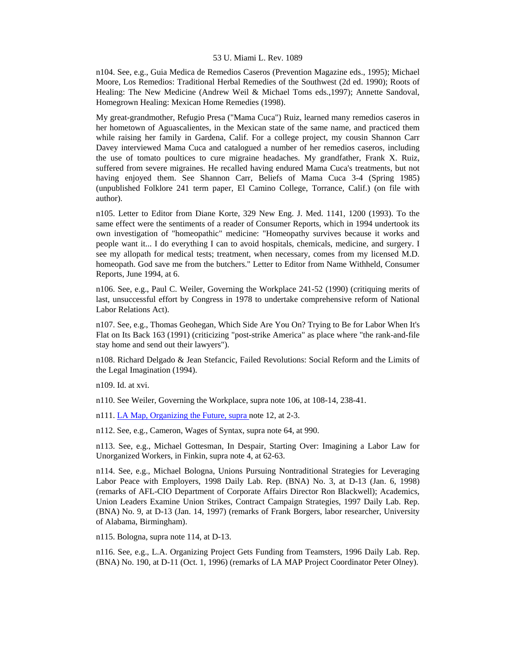n104. See, e.g., Guia Medica de Remedios Caseros (Prevention Magazine eds., 1995); Michael Moore, Los Remedios: Traditional Herbal Remedies of the Southwest (2d ed. 1990); Roots of Healing: The New Medicine (Andrew Weil & Michael Toms eds.,1997); Annette Sandoval, Homegrown Healing: Mexican Home Remedies (1998).

My great-grandmother, Refugio Presa ("Mama Cuca") Ruiz, learned many remedios caseros in her hometown of Aguascalientes, in the Mexican state of the same name, and practiced them while raising her family in Gardena, Calif. For a college project, my cousin Shannon Carr Davey interviewed Mama Cuca and catalogued a number of her remedios caseros, including the use of tomato poultices to cure migraine headaches. My grandfather, Frank X. Ruiz, suffered from severe migraines. He recalled having endured Mama Cuca's treatments, but not having enjoyed them. See Shannon Carr, Beliefs of Mama Cuca 3-4 (Spring 1985) (unpublished Folklore 241 term paper, El Camino College, Torrance, Calif.) (on file with author).

n105. Letter to Editor from Diane Korte, 329 New Eng. J. Med. 1141, 1200 (1993). To the same effect were the sentiments of a reader of Consumer Reports, which in 1994 undertook its own investigation of "homeopathic" medicine: "Homeopathy survives because it works and people want it... I do everything I can to avoid hospitals, chemicals, medicine, and surgery. I see my allopath for medical tests; treatment, when necessary, comes from my licensed M.D. homeopath. God save me from the butchers." Letter to Editor from Name Withheld, Consumer Reports, June 1994, at 6.

n106. See, e.g., Paul C. Weiler, Governing the Workplace 241-52 (1990) (critiquing merits of last, unsuccessful effort by Congress in 1978 to undertake comprehensive reform of National Labor Relations Act).

n107. See, e.g., Thomas Geohegan, Which Side Are You On? Trying to Be for Labor When It's Flat on Its Back 163 (1991) (criticizing "post-strike America" as place where "the rank-and-file stay home and send out their lawyers").

n108. Richard Delgado & Jean Stefancic, Failed Revolutions: Social Reform and the Limits of the Legal Imagination (1994).

n109. Id. at xvi.

n110. See Weiler, Governing the Workplace, supra note 106, at 108-14, 238-41.

n111. [LA Map, Organizing the Future, supra n](http://www.lexis.com/research/xlink?searchtype=get&search=150%20L.R.R.M.%2024)ote 12, at 2-3.

n112. See, e.g., Cameron, Wages of Syntax, supra note 64, at 990.

n113. See, e.g., Michael Gottesman, In Despair, Starting Over: Imagining a Labor Law for Unorganized Workers, in Finkin, supra note 4, at 62-63.

n114. See, e.g., Michael Bologna, Unions Pursuing Nontraditional Strategies for Leveraging Labor Peace with Employers, 1998 Daily Lab. Rep. (BNA) No. 3, at D-13 (Jan. 6, 1998) (remarks of AFL-CIO Department of Corporate Affairs Director Ron Blackwell); Academics, Union Leaders Examine Union Strikes, Contract Campaign Strategies, 1997 Daily Lab. Rep. (BNA) No. 9, at D-13 (Jan. 14, 1997) (remarks of Frank Borgers, labor researcher, University of Alabama, Birmingham).

n115. Bologna, supra note 114, at D-13.

n116. See, e.g., L.A. Organizing Project Gets Funding from Teamsters, 1996 Daily Lab. Rep. (BNA) No. 190, at D-11 (Oct. 1, 1996) (remarks of LA MAP Project Coordinator Peter Olney).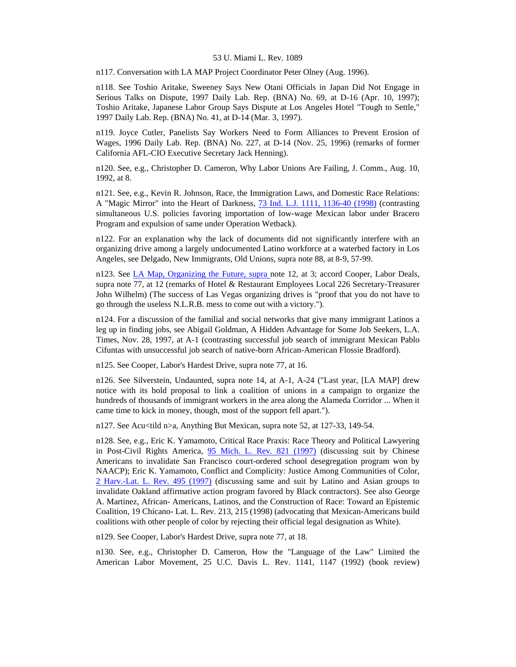n117. Conversation with LA MAP Project Coordinator Peter Olney (Aug. 1996).

n118. See Toshio Aritake, Sweeney Says New Otani Officials in Japan Did Not Engage in Serious Talks on Dispute, 1997 Daily Lab. Rep. (BNA) No. 69, at D-16 (Apr. 10, 1997); Toshio Aritake, Japanese Labor Group Says Dispute at Los Angeles Hotel "Tough to Settle," 1997 Daily Lab. Rep. (BNA) No. 41, at D-14 (Mar. 3, 1997).

n119. Joyce Cutler, Panelists Say Workers Need to Form Alliances to Prevent Erosion of Wages, 1996 Daily Lab. Rep. (BNA) No. 227, at D-14 (Nov. 25, 1996) (remarks of former California AFL-CIO Executive Secretary Jack Henning).

n120. See, e.g., Christopher D. Cameron, Why Labor Unions Are Failing, J. Comm., Aug. 10, 1992, at 8.

n121. See, e.g., Kevin R. Johnson, Race, the Immigration Laws, and Domestic Race Relations: A "Magic Mirror" into the Heart of Darkness, [73 Ind. L.J. 1111, 1136-40 \(1998\)](http://www.lexis.com/research/xlink?searchtype=get&search=73%20Ind.%20L.J.%201111,at%201136) (contrasting simultaneous U.S. policies favoring importation of low-wage Mexican labor under Bracero Program and expulsion of same under Operation Wetback).

n122. For an explanation why the lack of documents did not significantly interfere with an organizing drive among a largely undocumented Latino workforce at a waterbed factory in Los Angeles, see Delgado, New Immigrants, Old Unions, supra note 88, at 8-9, 57-99.

n123. See [LA Map, Organizing the Future, supra n](http://www.lexis.com/research/xlink?searchtype=get&search=150%20L.R.R.M.%2024)ote 12, at 3; accord Cooper, Labor Deals, supra note 77, at 12 (remarks of Hotel & Restaurant Employees Local 226 Secretary-Treasurer John Wilhelm) (The success of Las Vegas organizing drives is "proof that you do not have to go through the useless N.L.R.B. mess to come out with a victory.").

n124. For a discussion of the familial and social networks that give many immigrant Latinos a leg up in finding jobs, see Abigail Goldman, A Hidden Advantage for Some Job Seekers, L.A. Times, Nov. 28, 1997, at A-1 (contrasting successful job search of immigrant Mexican Pablo Cifuntas with unsuccessful job search of native-born African-American Flossie Bradford).

n125. See Cooper, Labor's Hardest Drive, supra note 77, at 16.

n126. See Silverstein, Undaunted, supra note 14, at A-1, A-24 ("Last year, [LA MAP] drew notice with its bold proposal to link a coalition of unions in a campaign to organize the hundreds of thousands of immigrant workers in the area along the Alameda Corridor ... When it came time to kick in money, though, most of the support fell apart.").

n127. See Acu<tild n>a, Anything But Mexican, supra note 52, at 127-33, 149-54.

n128. See, e.g., Eric K. Yamamoto, Critical Race Praxis: Race Theory and Political Lawyering in Post-Civil Rights America, [95 Mich. L. Rev. 821 \(1997\)](http://www.lexis.com/research/xlink?searchtype=get&search=95%20Mich.%20L.%20Rev.%20821) (discussing suit by Chinese Americans to invalidate San Francisco court-ordered school desegregation program won by NAACP); Eric K. Yamamoto, Conflict and Complicity: Justice Among Communities of Color, [2 Harv.-Lat. L. Rev. 495 \(1997\)](http://www.lexis.com/research/xlink?searchtype=get&search=2%20Harv.%20Latino%20L.%20Rev.%20495) (discussing same and suit by Latino and Asian groups to invalidate Oakland affirmative action program favored by Black contractors). See also George A. Martinez, African- Americans, Latinos, and the Construction of Race: Toward an Epistemic Coalition, 19 Chicano- Lat. L. Rev. 213, 215 (1998) (advocating that Mexican-Americans build coalitions with other people of color by rejecting their official legal designation as White).

n129. See Cooper, Labor's Hardest Drive, supra note 77, at 18.

n130. See, e.g., Christopher D. Cameron, How the "Language of the Law" Limited the American Labor Movement, 25 U.C. Davis L. Rev. 1141, 1147 (1992) (book review)